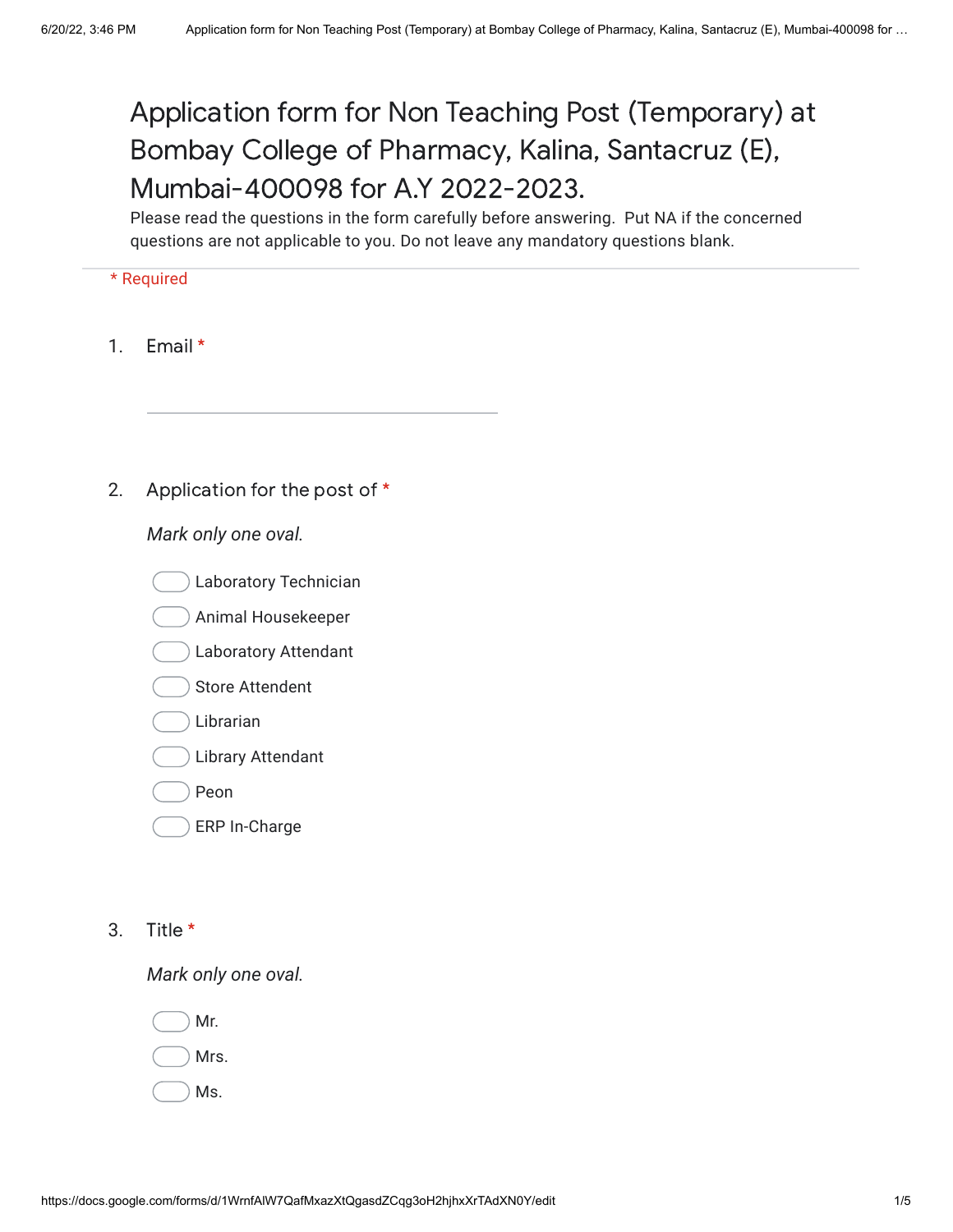## Application form for Non Teaching Post (Temporary) at Bombay College of Pharmacy, Kalina, Santacruz (E), Mumbai-400098 for A.Y 2022-2023.

Please read the questions in the form carefully before answering. Put NA if the concerned questions are not applicable to you. Do not leave any mandatory questions blank.

## \* Required

- 1. Email \*
- 2. Application for the post of \*

*Mark only one oval.*

- Laboratory Technician
- Animal Housekeeper
- Laboratory Attendant
- Store Attendent
- Librarian
- Library Attendant
- Peon
- ERP In-Charge
- 3. Title \*

*Mark only one oval.*

Mr. Mrs.

Ms.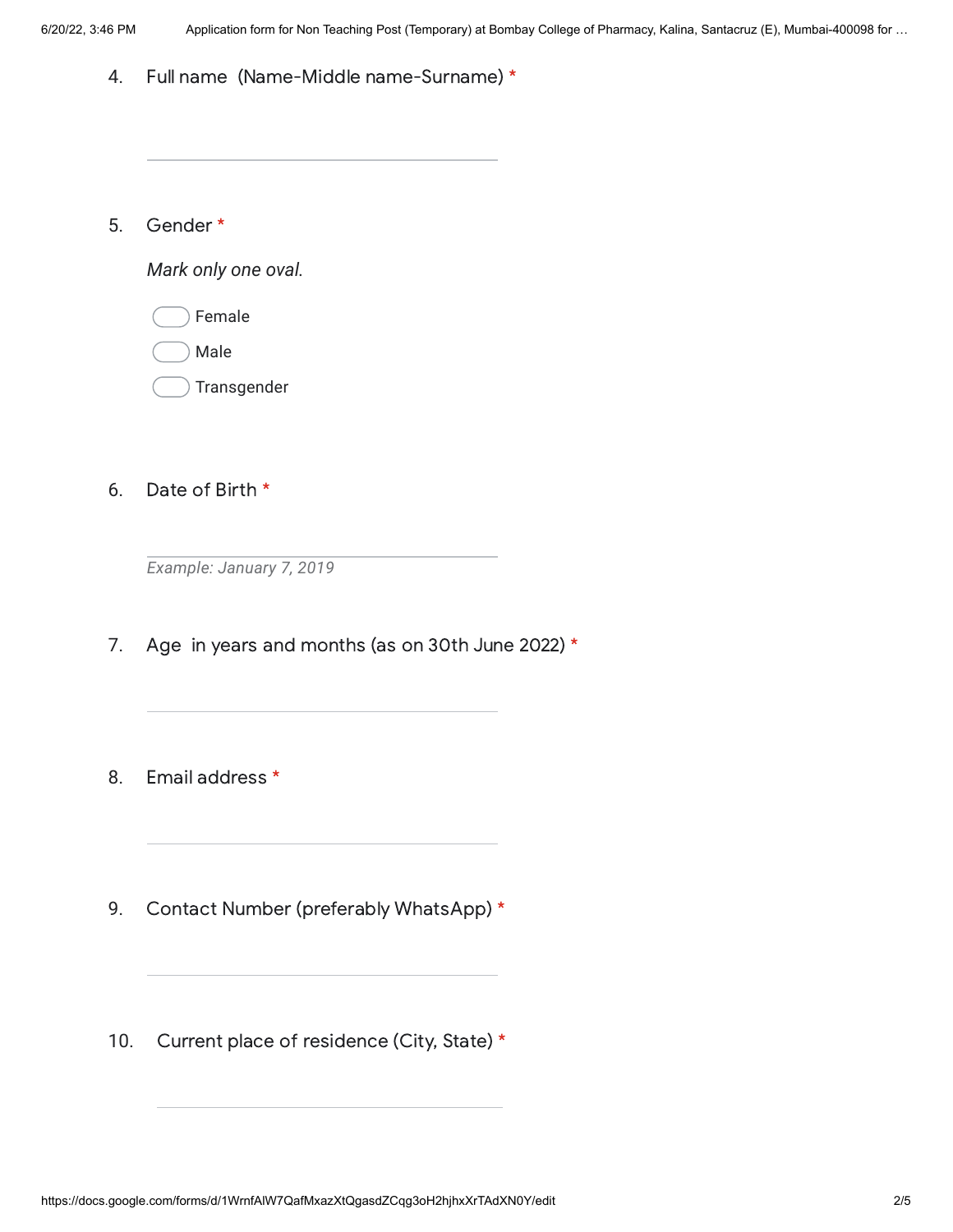4. Full name (Name-Middle name-Surname) \*

5. Gender \*

*Mark only one oval.*

- Female
- Male
- **Transgender**
- 6. Date of Birth \*

*Example: January 7, 2019*

- 7. Age in years and months (as on 30th June 2022) \*
- 8. Email address \*
- 9. Contact Number (preferably WhatsApp) \*
- 10. Current place of residence (City, State) \*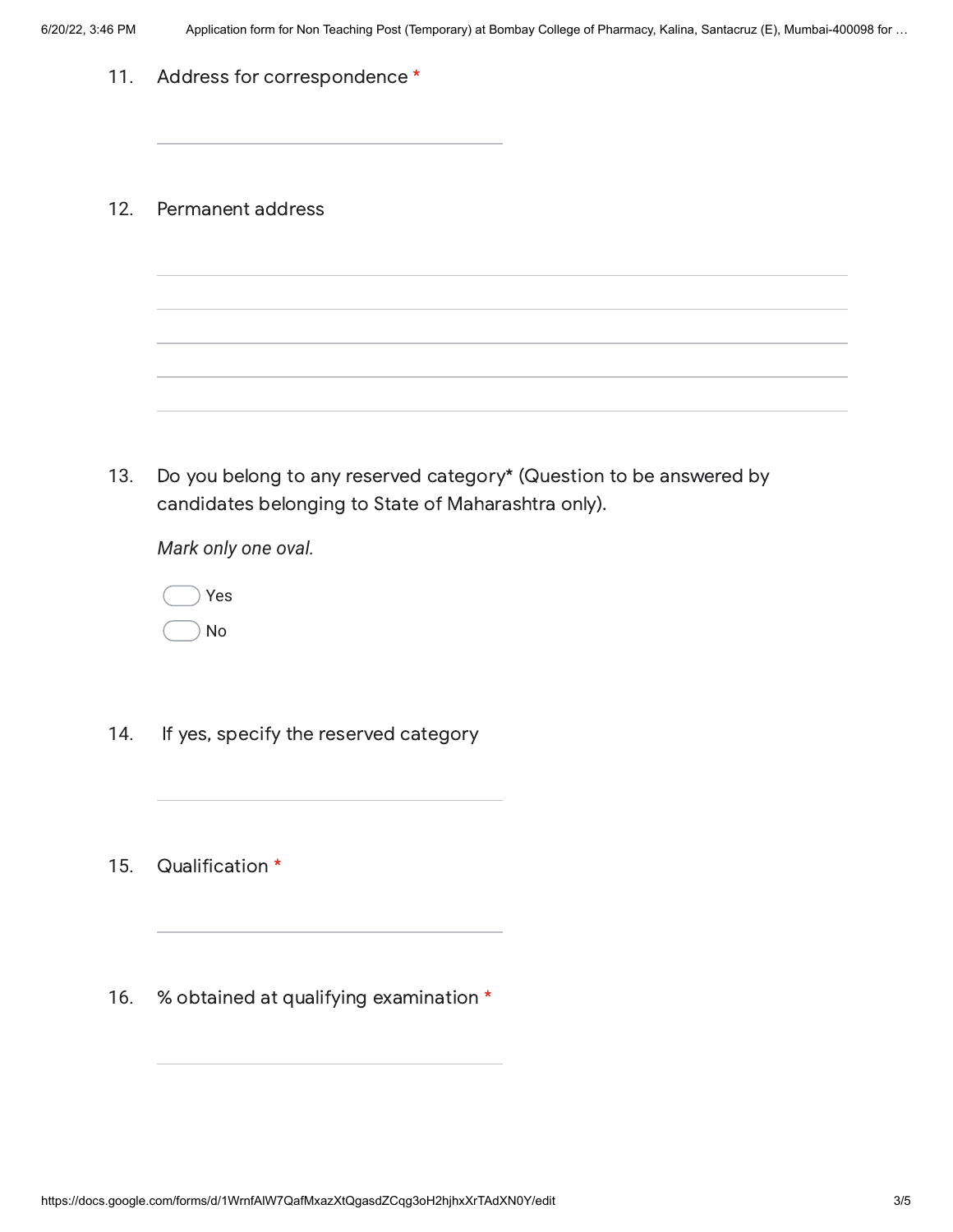| 11. | Address for correspondence *                                                                                               |
|-----|----------------------------------------------------------------------------------------------------------------------------|
| 12. | Permanent address                                                                                                          |
|     |                                                                                                                            |
| 13. | Do you belong to any reserved category* (Question to be answered by<br>candidates belonging to State of Maharashtra only). |
|     | Mark only one oval.                                                                                                        |
|     | Yes<br>No                                                                                                                  |
| 14. | If yes, specify the reserved category                                                                                      |
| 15. | Qualification *                                                                                                            |
| 16. | % obtained at qualifying examination *                                                                                     |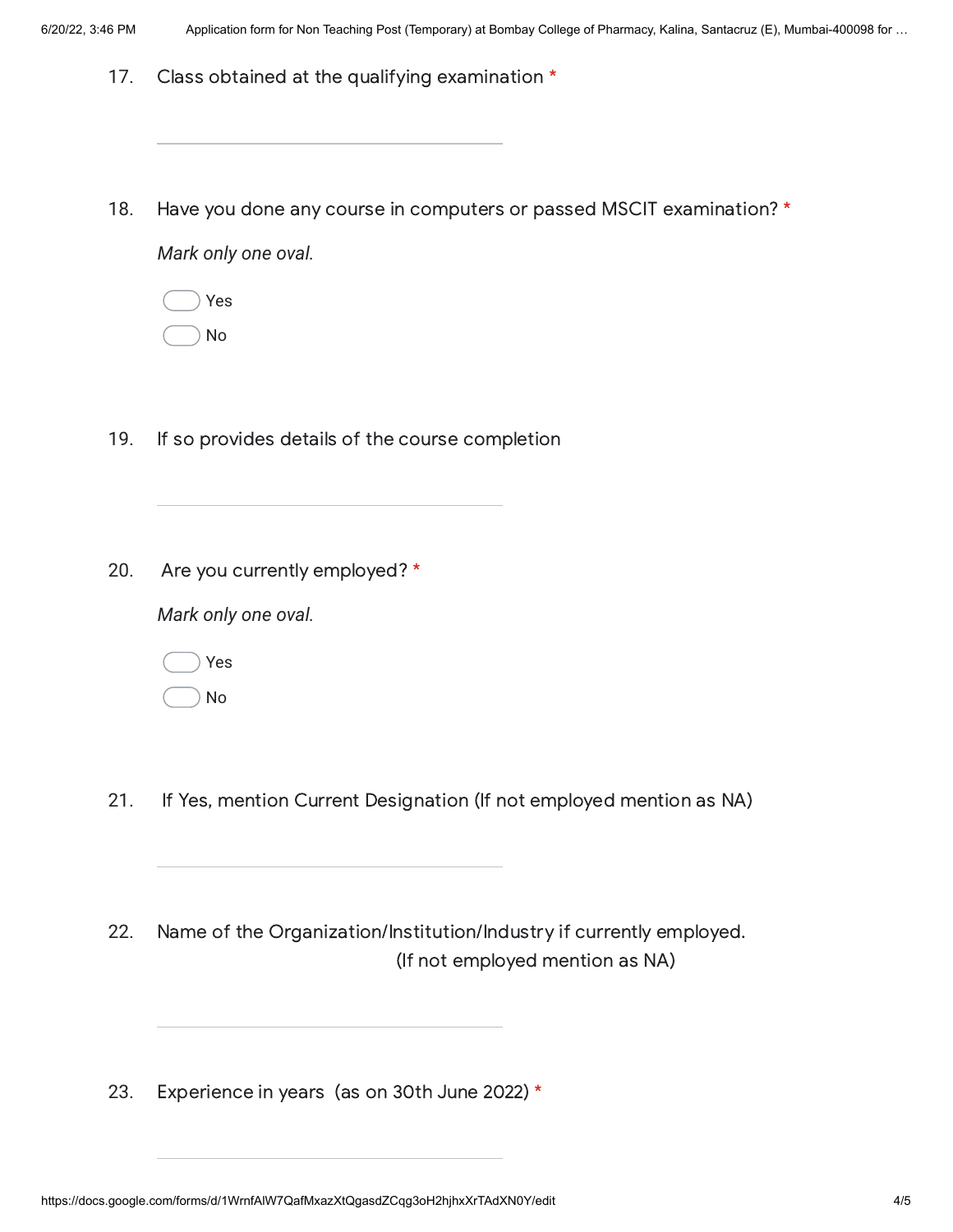- 17. Class obtained at the qualifying examination \*
- 18. Have you done any course in computers or passed MSCIT examination? \*

*Mark only one oval.*

Yes No

- 19. If so provides details of the course completion
- 20. Are you currently employed? \*

*Mark only one oval.*

Yes

No

- 21. If Yes, mention Current Designation (If not employed mention as NA)
- 22. Name of the Organization/Institution/Industry if currently employed. (If not employed mention as NA)
- 23. Experience in years (as on 30th June 2022) \*